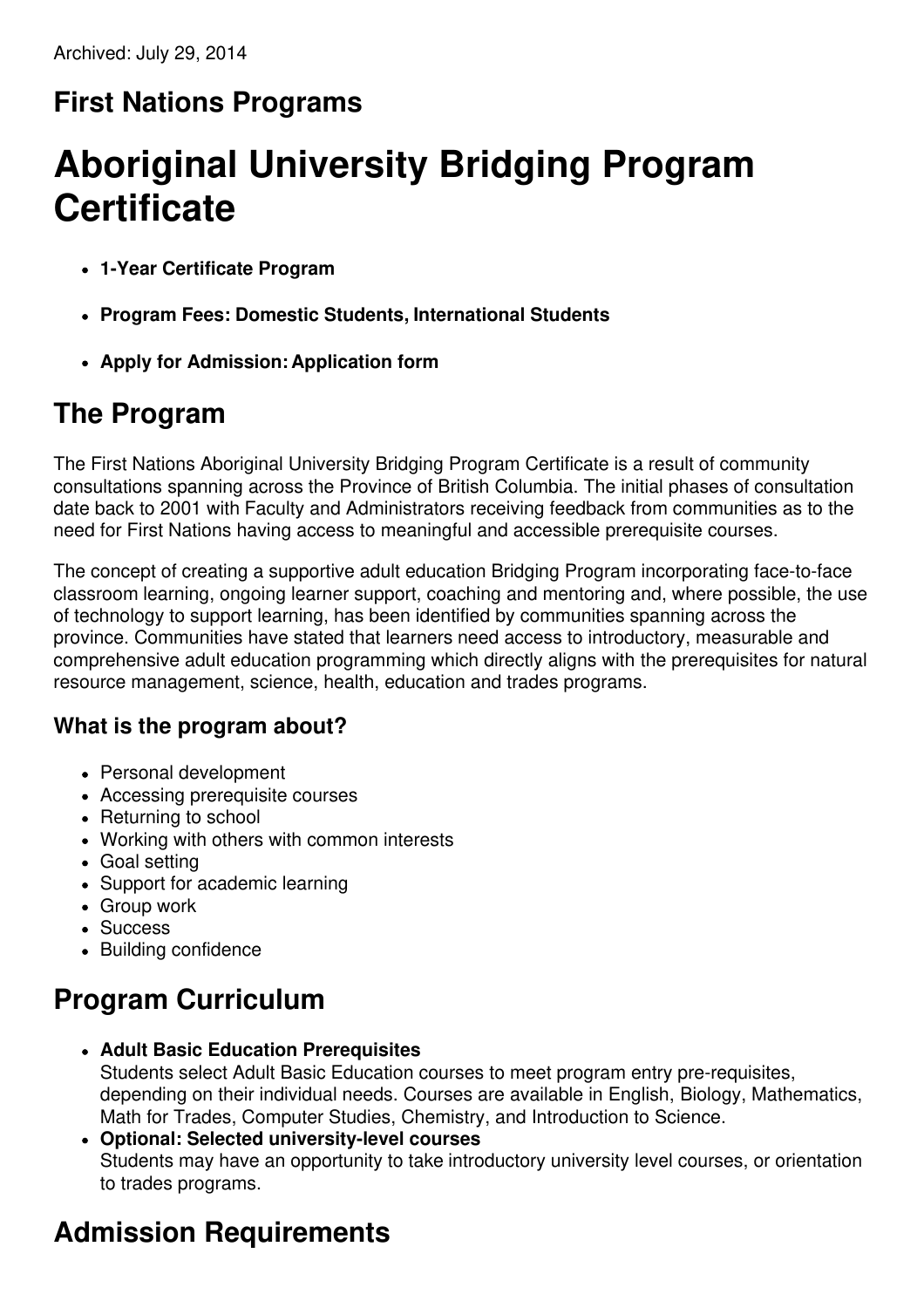## **First Nations Programs**

# **Aboriginal University Bridging Program Certificate**

- **1-Year Certificate Program**
- **Program Fees: Domestic Students, International Students**
- **Apply for Admission: Application form**

### **The Program**

The First Nations Aboriginal University Bridging Program Certificate is a result of community consultations spanning across the Province of British Columbia. The initial phases of consultation date back to 2001 with Faculty and Administrators receiving feedback from communities as to the need for First Nations having access to meaningful and accessible prerequisite courses.

The concept of creating a supportive adult education Bridging Program incorporating face-to-face classroom learning, ongoing learner support, coaching and mentoring and, where possible, the use of technology to support learning, has been identified by communities spanning across the province. Communities have stated that learners need access to introductory, measurable and comprehensive adult education programming which directly aligns with the prerequisites for natural resource management, science, health, education and trades programs.

### **What is the program about?**

- Personal development
- Accessing prerequisite courses
- Returning to school
- Working with others with common interests
- Goal setting
- Support for academic learning
- Group work
- Success
- Building confidence

## **Program Curriculum**

- **Adult Basic Education Prerequisites** Students select Adult Basic Education courses to meet program entry pre-requisites, depending on their individual needs. Courses are available in English, Biology, Mathematics, Math for Trades, Computer Studies, Chemistry, and Introduction to Science.
- **Optional: Selected university-level courses** Students may have an opportunity to take introductory university level courses, or orientation to trades programs.

# **Admission Requirements**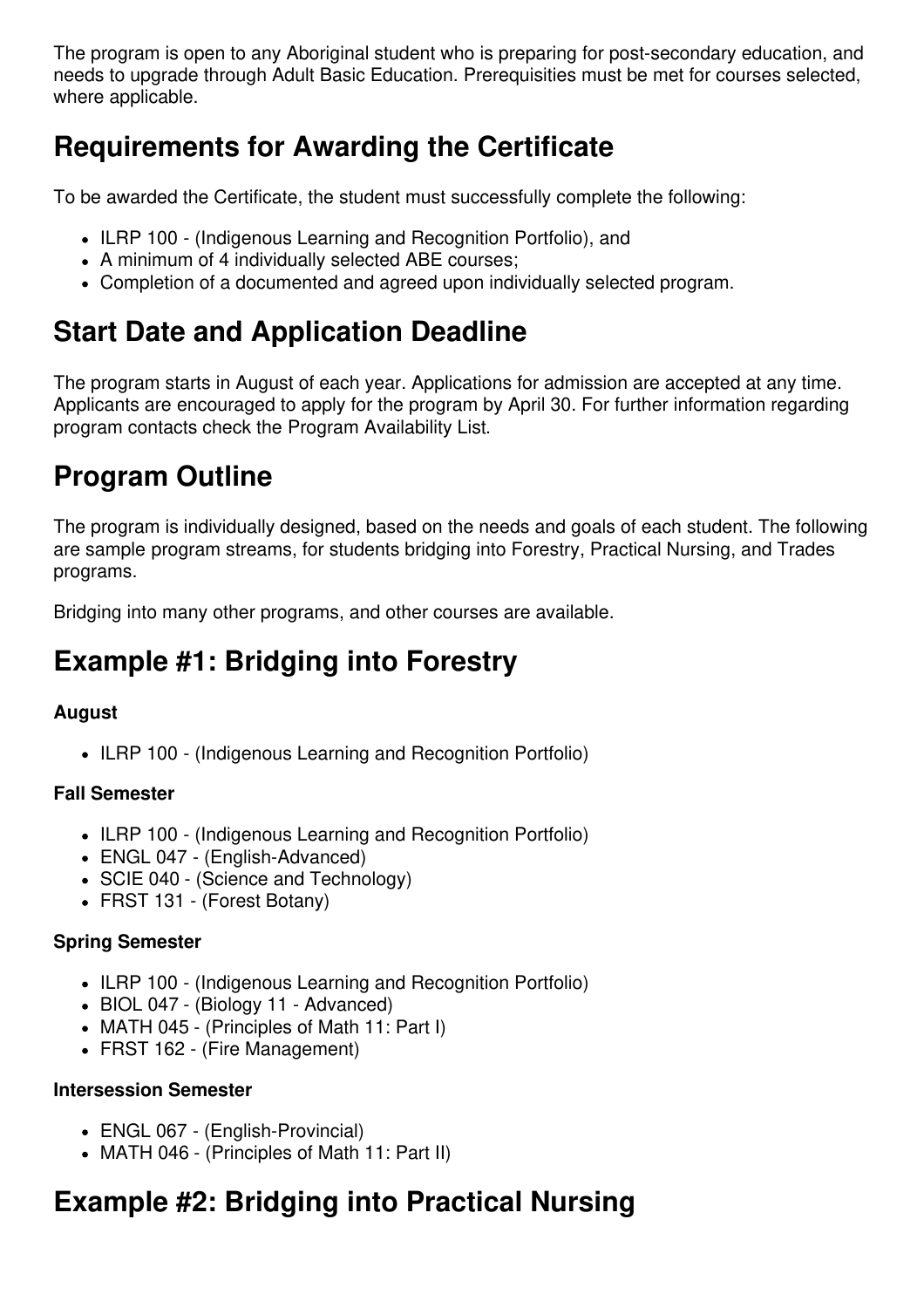The program is open to any Aboriginal student who is preparing for post-secondary education, and needs to upgrade through Adult Basic Education. Prerequisities must be met for courses selected, where applicable.

### **Requirements for Awarding the Certificate**

To be awarded the Certificate, the student must successfully complete the following:

- ILRP 100 (Indigenous Learning and Recognition Portfolio), and
- A minimum of 4 individually selected ABE courses;
- Completion of a documented and agreed upon individually selected program.

### **Start Date and Application Deadline**

The program starts in August of each year. Applications for admission are accepted at any time. Applicants are encouraged to apply for the program by April 30. For further information regarding program contacts check the Program Availability List.

### **Program Outline**

The program is individually designed, based on the needs and goals of each student. The following are sample program streams, for students bridging into Forestry, Practical Nursing, and Trades programs.

Bridging into many other programs, and other courses are available.

### **Example #1: Bridging into Forestry**

### **August**

• ILRP 100 - (Indigenous Learning and Recognition Portfolio)

#### **Fall Semester**

- ILRP 100 (Indigenous Learning and Recognition Portfolio)
- ENGL 047 (English-Advanced)
- SCIE 040 (Science and Technology)
- FRST 131 (Forest Botany)

#### **Spring Semester**

- ILRP 100 (Indigenous Learning and Recognition Portfolio)
- BIOL 047 (Biology 11 Advanced)
- MATH 045 (Principles of Math 11: Part I)
- FRST 162 (Fire Management)

#### **Intersession Semester**

- ENGL 067 (English-Provincial)
- MATH 046 (Principles of Math 11: Part II)

### **Example #2: Bridging into Practical Nursing**